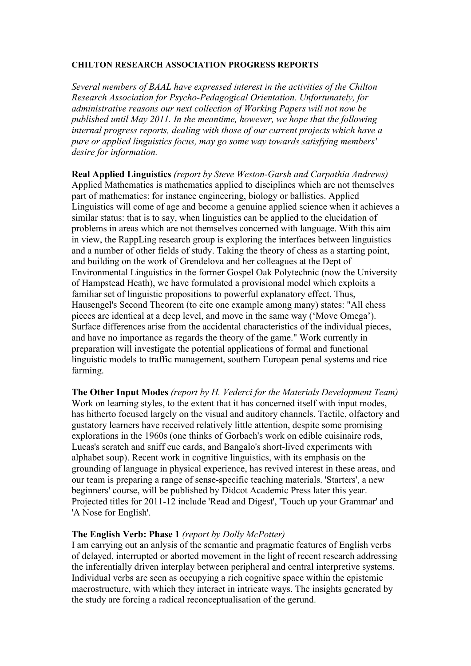## **CHILTON RESEARCH ASSOCIATION PROGRESS REPORTS**

*Several members of BAAL have expressed interest in the activities of the Chilton Research Association for Psycho-Pedagogical Orientation. Unfortunately, for administrative reasons our next collection of Working Papers will not now be published until May 2011. In the meantime, however, we hope that the following internal progress reports, dealing with those of our current projects which have a pure or applied linguistics focus, may go some way towards satisfying members' desire for information.*

**Real Applied Linguistics** *(report by Steve Weston-Garsh and Carpathia Andrews)* Applied Mathematics is mathematics applied to disciplines which are not themselves part of mathematics: for instance engineering, biology or ballistics. Applied Linguistics will come of age and become a genuine applied science when it achieves a similar status: that is to say, when linguistics can be applied to the elucidation of problems in areas which are not themselves concerned with language. With this aim in view, the RappLing research group is exploring the interfaces between linguistics and a number of other fields of study. Taking the theory of chess as a starting point, and building on the work of Grendelova and her colleagues at the Dept of Environmental Linguistics in the former Gospel Oak Polytechnic (now the University of Hampstead Heath), we have formulated a provisional model which exploits a familiar set of linguistic propositions to powerful explanatory effect. Thus, Hausengel's Second Theorem (to cite one example among many) states: "All chess pieces are identical at a deep level, and move in the same way ('Move Omega'). Surface differences arise from the accidental characteristics of the individual pieces, and have no importance as regards the theory of the game." Work currently in preparation will investigate the potential applications of formal and functional linguistic models to traffic management, southern European penal systems and rice farming.

**The Other Input Modes** *(report by H. Vederci for the Materials Development Team)* Work on learning styles, to the extent that it has concerned itself with input modes, has hitherto focused largely on the visual and auditory channels. Tactile, olfactory and gustatory learners have received relatively little attention, despite some promising explorations in the 1960s (one thinks of Gorbach's work on edible cuisinaire rods, Lucas's scratch and sniff cue cards, and Bangalo's short-lived experiments with alphabet soup). Recent work in cognitive linguistics, with its emphasis on the grounding of language in physical experience, has revived interest in these areas, and our team is preparing a range of sense-specific teaching materials. 'Starters', a new beginners' course, will be published by Didcot Academic Press later this year. Projected titles for 2011-12 include 'Read and Digest', 'Touch up your Grammar' and 'A Nose for English'.

## **The English Verb: Phase 1** *(report by Dolly McPotter)*

I am carrying out an anlysis of the semantic and pragmatic features of English verbs of delayed, interrupted or aborted movement in the light of recent research addressing the inferentially driven interplay between peripheral and central interpretive systems. Individual verbs are seen as occupying a rich cognitive space within the epistemic macrostructure, with which they interact in intricate ways. The insights generated by the study are forcing a radical reconceptualisation of the gerund.